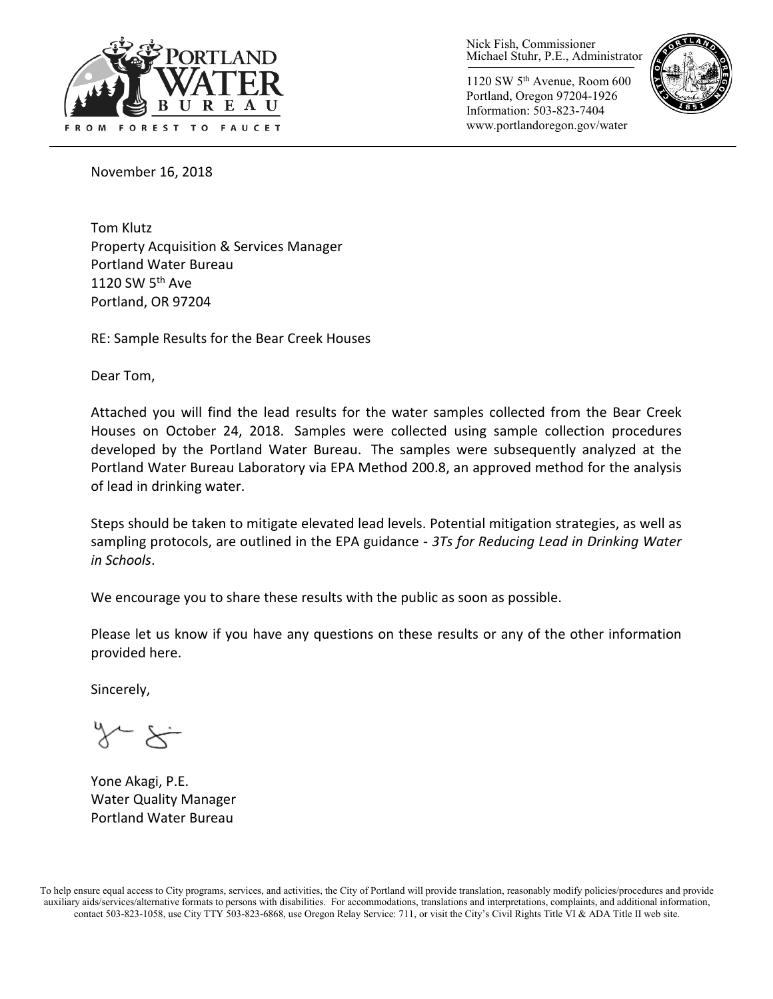

Nick Fish, Commissioner Michael Stuhr, P.E., Administrator

1120 SW 5th Avenue, Room 600 Portland, Oregon 97204-1926 Information: 503-823-7404 www.portlandoregon.gov/water



November 16, 2018

Tom Klutz Property Acquisition & Services Manager Portland Water Bureau 1120 SW  $5<sup>th</sup>$  Ave Portland, OR 97204

RE: Sample Results for the Bear Creek Houses

Dear Tom,

Attached you will find the lead results for the water samples collected from the Bear Creek Houses on October 24, 2018. Samples were collected using sample collection procedures developed by the Portland Water Bureau. The samples were subsequently analyzed at the Portland Water Bureau Laboratory via EPA Method 200.8, an approved method for the analysis of lead in drinking water.

Steps should be taken to mitigate elevated lead levels. Potential mitigation strategies, as well as sampling protocols, are outlined in the EPA guidance - *3Ts for Reducing Lead in Drinking Water in Schools*.

We encourage you to share these results with the public as soon as possible.

Please let us know if you have any questions on these results or any of the other information provided here.

Sincerely,

 $\sim$   $\times$ 

Yone Akagi, P.E. Water Quality Manager Portland Water Bureau

To help ensure equal access to City programs, services, and activities, the City of Portland will provide translation, reasonably modify policies/procedures and provide auxiliary aids/services/alternative formats to persons with disabilities. For accommodations, translations and interpretations, complaints, and additional information, contact 503-823-1058, use City TTY 503-823-6868, use Oregon Relay Service: 711, or visi[t the City's Civil Rights Title VI & ADA Title II web site.](http://www.portlandoregon.gov/oehr/66458)